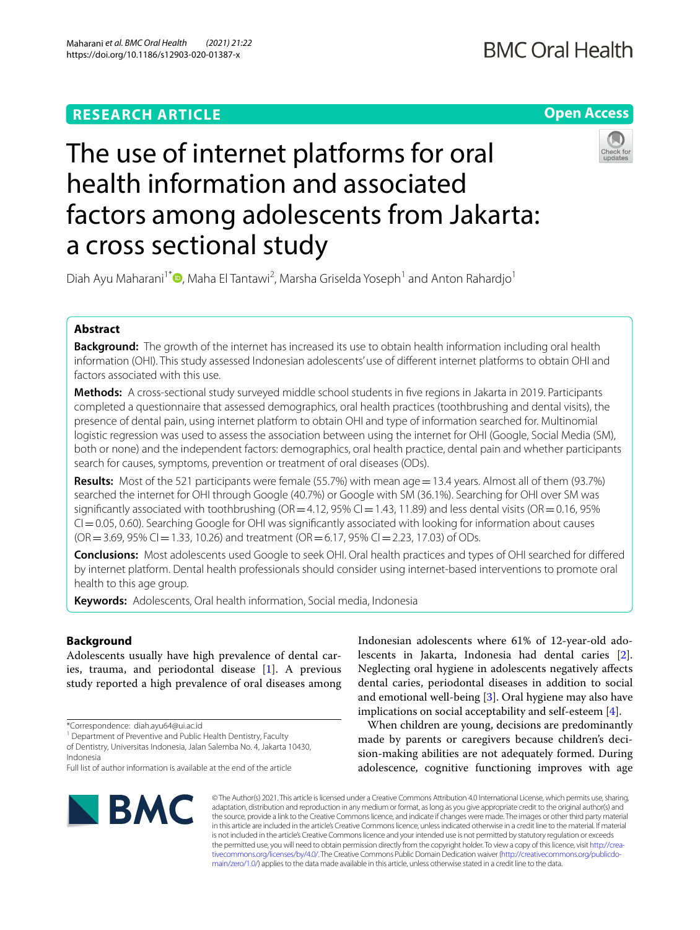# **RESEARCH ARTICLE**

# **Open Access**



# The use of internet platforms for oral health information and associated factors among adolescents from Jakarta: a cross sectional study

Diah Ayu Maharani<sup>1\*</sup><sup>®</sup>[,](http://orcid.org/0000-0001-6713-786X) Maha El Tantawi<sup>2</sup>, Marsha Griselda Yoseph<sup>1</sup> and Anton Rahardjo<sup>1</sup>

# **Abstract**

**Background:** The growth of the internet has increased its use to obtain health information including oral health information (OHI). This study assessed Indonesian adolescents' use of diferent internet platforms to obtain OHI and factors associated with this use.

**Methods:** A cross-sectional study surveyed middle school students in fve regions in Jakarta in 2019. Participants completed a questionnaire that assessed demographics, oral health practices (toothbrushing and dental visits), the presence of dental pain, using internet platform to obtain OHI and type of information searched for. Multinomial logistic regression was used to assess the association between using the internet for OHI (Google, Social Media (SM), both or none) and the independent factors: demographics, oral health practice, dental pain and whether participants search for causes, symptoms, prevention or treatment of oral diseases (ODs).

**Results:** Most of the 521 participants were female (55.7%) with mean age = 13.4 years. Almost all of them (93.7%) searched the internet for OHI through Google (40.7%) or Google with SM (36.1%). Searching for OHI over SM was significantly associated with toothbrushing (OR=4.12, 95% CI=1.43, 11.89) and less dental visits (OR=0.16, 95%  $CI = 0.05$ , 0.60). Searching Google for OHI was significantly associated with looking for information about causes  $(OR = 3.69, 95\% CI = 1.33, 10.26)$  and treatment  $(OR = 6.17, 95\% CI = 2.23, 17.03)$  of ODs.

**Conclusions:** Most adolescents used Google to seek OHI. Oral health practices and types of OHI searched for difered by internet platform. Dental health professionals should consider using internet-based interventions to promote oral health to this age group.

**Keywords:** Adolescents, Oral health information, Social media, Indonesia

# **Background**

Adolescents usually have high prevalence of dental caries, trauma, and periodontal disease [\[1](#page-5-0)]. A previous study reported a high prevalence of oral diseases among

<sup>1</sup> Department of Preventive and Public Health Dentistry, Faculty of Dentistry, Universitas Indonesia, Jalan Salemba No. 4, Jakarta 10430,

Indonesia

Full list of author information is available at the end of the article



Indonesian adolescents where 61% of 12-year-old adolescents in Jakarta, Indonesia had dental caries [\[2](#page-5-1)]. Neglecting oral hygiene in adolescents negatively afects dental caries, periodontal diseases in addition to social and emotional well-being [\[3](#page-5-2)]. Oral hygiene may also have implications on social acceptability and self-esteem [[4\]](#page-5-3).

When children are young, decisions are predominantly made by parents or caregivers because children's decision-making abilities are not adequately formed. During adolescence, cognitive functioning improves with age

© The Author(s) 2021. This article is licensed under a Creative Commons Attribution 4.0 International License, which permits use, sharing, adaptation, distribution and reproduction in any medium or format, as long as you give appropriate credit to the original author(s) and the source, provide a link to the Creative Commons licence, and indicate if changes were made. The images or other third party material in this article are included in the article's Creative Commons licence, unless indicated otherwise in a credit line to the material. If material is not included in the article's Creative Commons licence and your intended use is not permitted by statutory regulation or exceeds the permitted use, you will need to obtain permission directly from the copyright holder. To view a copy of this licence, visit [http://crea](http://creativecommons.org/licenses/by/4.0/)[tivecommons.org/licenses/by/4.0/.](http://creativecommons.org/licenses/by/4.0/) The Creative Commons Public Domain Dedication waiver ([http://creativecommons.org/publicdo](http://creativecommons.org/publicdomain/zero/1.0/)[main/zero/1.0/\)](http://creativecommons.org/publicdomain/zero/1.0/) applies to the data made available in this article, unless otherwise stated in a credit line to the data.

<sup>\*</sup>Correspondence: diah.ayu64@ui.ac.id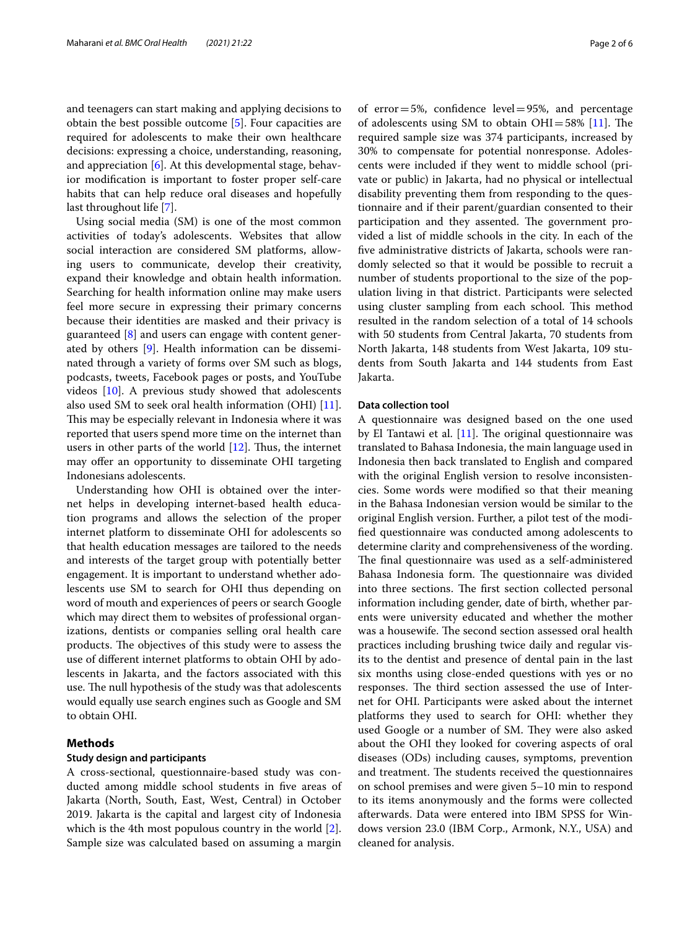and teenagers can start making and applying decisions to obtain the best possible outcome [[5\]](#page-5-4). Four capacities are required for adolescents to make their own healthcare decisions: expressing a choice, understanding, reasoning, and appreciation [\[6](#page-5-5)]. At this developmental stage, behavior modifcation is important to foster proper self-care habits that can help reduce oral diseases and hopefully last throughout life [\[7](#page-5-6)].

Using social media (SM) is one of the most common activities of today's adolescents. Websites that allow social interaction are considered SM platforms, allowing users to communicate, develop their creativity, expand their knowledge and obtain health information. Searching for health information online may make users feel more secure in expressing their primary concerns because their identities are masked and their privacy is guaranteed [[8](#page-5-7)] and users can engage with content generated by others [[9\]](#page-5-8). Health information can be disseminated through a variety of forms over SM such as blogs, podcasts, tweets, Facebook pages or posts, and YouTube videos [\[10](#page-5-9)]. A previous study showed that adolescents also used SM to seek oral health information (OHI) [\[11](#page-5-10)]. This may be especially relevant in Indonesia where it was reported that users spend more time on the internet than users in other parts of the world  $[12]$  $[12]$ . Thus, the internet may offer an opportunity to disseminate OHI targeting Indonesians adolescents.

Understanding how OHI is obtained over the internet helps in developing internet-based health education programs and allows the selection of the proper internet platform to disseminate OHI for adolescents so that health education messages are tailored to the needs and interests of the target group with potentially better engagement. It is important to understand whether adolescents use SM to search for OHI thus depending on word of mouth and experiences of peers or search Google which may direct them to websites of professional organizations, dentists or companies selling oral health care products. The objectives of this study were to assess the use of diferent internet platforms to obtain OHI by adolescents in Jakarta, and the factors associated with this use. The null hypothesis of the study was that adolescents would equally use search engines such as Google and SM to obtain OHI.

# **Methods**

# **Study design and participants**

A cross-sectional, questionnaire-based study was conducted among middle school students in five areas of Jakarta (North, South, East, West, Central) in October 2019. Jakarta is the capital and largest city of Indonesia which is the 4th most populous country in the world [\[2](#page-5-1)]. Sample size was calculated based on assuming a margin of  $error=5%$ , confidence  $level=95%$ , and percentage of adolescents using SM to obtain  $OHI=58\%$  [\[11](#page-5-10)]. The required sample size was 374 participants, increased by 30% to compensate for potential nonresponse. Adolescents were included if they went to middle school (private or public) in Jakarta, had no physical or intellectual disability preventing them from responding to the questionnaire and if their parent/guardian consented to their participation and they assented. The government provided a list of middle schools in the city. In each of the fve administrative districts of Jakarta, schools were randomly selected so that it would be possible to recruit a number of students proportional to the size of the population living in that district. Participants were selected

using cluster sampling from each school. This method resulted in the random selection of a total of 14 schools with 50 students from Central Jakarta, 70 students from North Jakarta, 148 students from West Jakarta, 109 students from South Jakarta and 144 students from East Jakarta.

### **Data collection tool**

A questionnaire was designed based on the one used by El Tantawi et al.  $[11]$  $[11]$ . The original questionnaire was translated to Bahasa Indonesia, the main language used in Indonesia then back translated to English and compared with the original English version to resolve inconsistencies. Some words were modifed so that their meaning in the Bahasa Indonesian version would be similar to the original English version. Further, a pilot test of the modifed questionnaire was conducted among adolescents to determine clarity and comprehensiveness of the wording. The final questionnaire was used as a self-administered Bahasa Indonesia form. The questionnaire was divided into three sections. The first section collected personal information including gender, date of birth, whether parents were university educated and whether the mother was a housewife. The second section assessed oral health practices including brushing twice daily and regular visits to the dentist and presence of dental pain in the last six months using close-ended questions with yes or no responses. The third section assessed the use of Internet for OHI. Participants were asked about the internet platforms they used to search for OHI: whether they used Google or a number of SM. They were also asked about the OHI they looked for covering aspects of oral diseases (ODs) including causes, symptoms, prevention and treatment. The students received the questionnaires on school premises and were given 5–10 min to respond to its items anonymously and the forms were collected afterwards. Data were entered into IBM SPSS for Windows version 23.0 (IBM Corp., Armonk, N.Y., USA) and cleaned for analysis.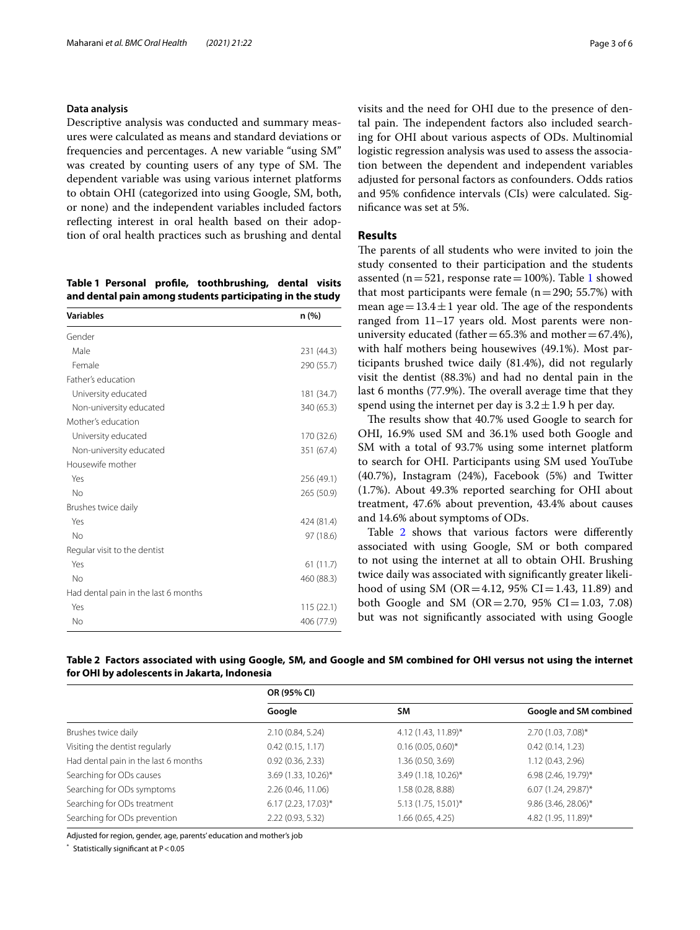# **Data analysis**

Descriptive analysis was conducted and summary measures were calculated as means and standard deviations or frequencies and percentages. A new variable "using SM" was created by counting users of any type of SM. The dependent variable was using various internet platforms to obtain OHI (categorized into using Google, SM, both, or none) and the independent variables included factors refecting interest in oral health based on their adoption of oral health practices such as brushing and dental

<span id="page-2-0"></span>**Table 1 Personal profle, toothbrushing, dental visits and dental pain among students participating in the study**

| <b>Variables</b>                     | n (%)      |
|--------------------------------------|------------|
| Gender                               |            |
| Male                                 | 231 (44.3) |
| Female                               | 290 (55.7) |
| Father's education                   |            |
| University educated                  | 181 (34.7) |
| Non-university educated              | 340 (65.3) |
| Mother's education                   |            |
| University educated                  | 170 (32.6) |
| Non-university educated              | 351 (67.4) |
| Housewife mother                     |            |
| Yes                                  | 256 (49.1) |
| No                                   | 265 (50.9) |
| Brushes twice daily                  |            |
| Yes                                  | 424 (81.4) |
| No                                   | 97 (18.6)  |
| Regular visit to the dentist         |            |
| Yes                                  | 61(11.7)   |
| No                                   | 460 (88.3) |
| Had dental pain in the last 6 months |            |
| Yes                                  | 115(22.1)  |
| No                                   | 406 (77.9) |

visits and the need for OHI due to the presence of dental pain. The independent factors also included searching for OHI about various aspects of ODs. Multinomial logistic regression analysis was used to assess the association between the dependent and independent variables adjusted for personal factors as confounders. Odds ratios and 95% confdence intervals (CIs) were calculated. Signifcance was set at 5%.

## **Results**

The parents of all students who were invited to join the study consented to their participation and the students assented ( $n=521$ , response rate = 100%). Table [1](#page-2-0) showed that most participants were female ( $n=290$ ; 55.7%) with mean age =  $13.4 \pm 1$  year old. The age of the respondents ranged from 11–17 years old. Most parents were nonuniversity educated (father  $=65.3\%$  and mother  $=67.4\%$ ), with half mothers being housewives (49.1%). Most participants brushed twice daily (81.4%), did not regularly visit the dentist (88.3%) and had no dental pain in the last 6 months (77.9%). The overall average time that they spend using the internet per day is  $3.2 \pm 1.9$  h per day.

The results show that 40.7% used Google to search for OHI, 16.9% used SM and 36.1% used both Google and SM with a total of 93.7% using some internet platform to search for OHI. Participants using SM used YouTube (40.7%), Instagram (24%), Facebook (5%) and Twitter (1.7%). About 49.3% reported searching for OHI about treatment, 47.6% about prevention, 43.4% about causes and 14.6% about symptoms of ODs.

Table [2](#page-2-1) shows that various factors were differently associated with using Google, SM or both compared to not using the internet at all to obtain OHI. Brushing twice daily was associated with signifcantly greater likelihood of using SM (OR=4.12, 95% CI=1.43, 11.89) and both Google and SM (OR=2.70, 95% CI=1.03, 7.08) but was not signifcantly associated with using Google

<span id="page-2-1"></span>

| Table 2 Factors associated with using Google, SM, and Google and SM combined for OHI versus not using the internet |  |  |  |  |
|--------------------------------------------------------------------------------------------------------------------|--|--|--|--|
| for OHI by adolescents in Jakarta, Indonesia                                                                       |  |  |  |  |

|                                      | OR (95% CI)           |                      |                        |  |  |
|--------------------------------------|-----------------------|----------------------|------------------------|--|--|
|                                      | Google                | SM                   | Google and SM combined |  |  |
| Brushes twice daily                  | 2.10 (0.84, 5.24)     | 4.12 (1.43, 11.89)*  | 2.70 (1.03, 7.08)*     |  |  |
| Visiting the dentist regularly       | 0.42(0.15, 1.17)      | $0.16(0.05, 0.60)$ * | 0.42(0.14, 1.23)       |  |  |
| Had dental pain in the last 6 months | 0.92(0.36, 2.33)      | 1.36 (0.50, 3.69)    | 1.12 (0.43, 2.96)      |  |  |
| Searching for ODs causes             | 3.69 (1.33, 10.26)*   | 3.49 (1.18, 10.26)*  | 6.98 (2.46, 19.79)*    |  |  |
| Searching for ODs symptoms           | 2.26 (0.46, 11.06)    | 1.58 (0.28, 8.88)    | $6.07$ (1.24, 29.87)*  |  |  |
| Searching for ODs treatment          | $6.17(2.23, 17.03)^*$ | 5.13 (1.75, 15.01)*  | 9.86 (3.46, 28.06)*    |  |  |
| Searching for ODs prevention         | 2.22 (0.93, 5.32)     | 1.66 (0.65, 4.25)    | 4.82 (1.95, 11.89)*    |  |  |

Adjusted for region, gender, age, parents' education and mother's job

Statistically significant at  $P < 0.05$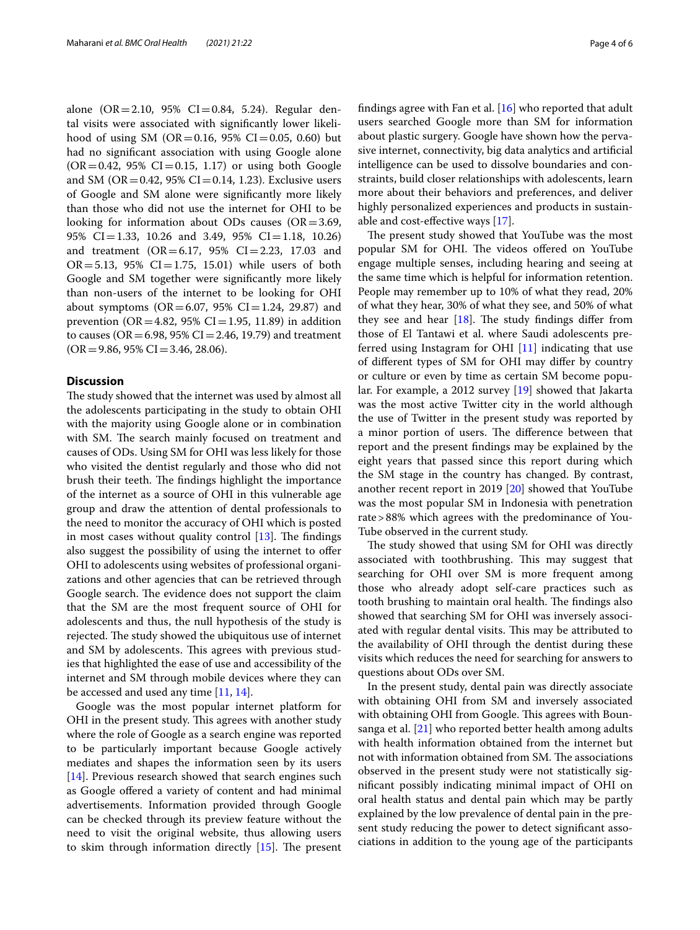alone  $(OR = 2.10, 95\% \text{ CI} = 0.84, 5.24)$ . Regular dental visits were associated with signifcantly lower likelihood of using SM (OR=0.16, 95% CI=0.05, 0.60) but had no signifcant association with using Google alone  $(OR = 0.42, 95\% \text{ CI} = 0.15, 1.17)$  or using both Google and SM (OR = 0.42, 95% CI = 0.14, 1.23). Exclusive users of Google and SM alone were signifcantly more likely than those who did not use the internet for OHI to be looking for information about ODs causes  $(OR = 3.69,$ 95% CI=1.33, 10.26 and 3.49, 95% CI=1.18, 10.26) and treatment  $(OR = 6.17, 95\% \text{ CI} = 2.23, 17.03 \text{ and}$  $OR = 5.13$ , 95%  $CI = 1.75$ , 15.01) while users of both Google and SM together were signifcantly more likely than non-users of the internet to be looking for OHI about symptoms ( $OR = 6.07$ , 95%  $CI = 1.24$ , 29.87) and prevention (OR = 4.82, 95% CI = 1.95, 11.89) in addition to causes ( $OR = 6.98$ ,  $95\%$   $CI = 2.46$ , 19.79) and treatment  $(OR = 9.86, 95\% CI = 3.46, 28.06).$ 

# **Discussion**

The study showed that the internet was used by almost all the adolescents participating in the study to obtain OHI with the majority using Google alone or in combination with SM. The search mainly focused on treatment and causes of ODs. Using SM for OHI was less likely for those who visited the dentist regularly and those who did not brush their teeth. The findings highlight the importance of the internet as a source of OHI in this vulnerable age group and draw the attention of dental professionals to the need to monitor the accuracy of OHI which is posted in most cases without quality control  $[13]$ . The findings also suggest the possibility of using the internet to ofer OHI to adolescents using websites of professional organizations and other agencies that can be retrieved through Google search. The evidence does not support the claim that the SM are the most frequent source of OHI for adolescents and thus, the null hypothesis of the study is rejected. The study showed the ubiquitous use of internet and SM by adolescents. This agrees with previous studies that highlighted the ease of use and accessibility of the internet and SM through mobile devices where they can be accessed and used any time [[11,](#page-5-10) [14](#page-5-13)].

Google was the most popular internet platform for OHI in the present study. This agrees with another study where the role of Google as a search engine was reported to be particularly important because Google actively mediates and shapes the information seen by its users [[14\]](#page-5-13). Previous research showed that search engines such as Google ofered a variety of content and had minimal advertisements. Information provided through Google can be checked through its preview feature without the need to visit the original website, thus allowing users to skim through information directly  $[15]$  $[15]$ . The present fndings agree with Fan et al. [\[16](#page-5-15)] who reported that adult users searched Google more than SM for information about plastic surgery. Google have shown how the pervasive internet, connectivity, big data analytics and artifcial intelligence can be used to dissolve boundaries and constraints, build closer relationships with adolescents, learn more about their behaviors and preferences, and deliver highly personalized experiences and products in sustainable and cost-efective ways [[17](#page-5-16)].

The present study showed that YouTube was the most popular SM for OHI. The videos offered on YouTube engage multiple senses, including hearing and seeing at the same time which is helpful for information retention. People may remember up to 10% of what they read, 20% of what they hear, 30% of what they see, and 50% of what they see and hear  $[18]$  $[18]$ . The study findings differ from those of El Tantawi et al. where Saudi adolescents preferred using Instagram for OHI [\[11\]](#page-5-10) indicating that use of diferent types of SM for OHI may difer by country or culture or even by time as certain SM become popular. For example, a 2012 survey [\[19](#page-5-18)] showed that Jakarta was the most active Twitter city in the world although the use of Twitter in the present study was reported by a minor portion of users. The difference between that report and the present fndings may be explained by the eight years that passed since this report during which the SM stage in the country has changed. By contrast, another recent report in 2019 [[20](#page-5-19)] showed that YouTube was the most popular SM in Indonesia with penetration rate>88% which agrees with the predominance of You-Tube observed in the current study.

The study showed that using SM for OHI was directly associated with toothbrushing. This may suggest that searching for OHI over SM is more frequent among those who already adopt self-care practices such as tooth brushing to maintain oral health. The findings also showed that searching SM for OHI was inversely associated with regular dental visits. This may be attributed to the availability of OHI through the dentist during these visits which reduces the need for searching for answers to questions about ODs over SM.

In the present study, dental pain was directly associate with obtaining OHI from SM and inversely associated with obtaining OHI from Google. This agrees with Bounsanga et al. [\[21\]](#page-5-20) who reported better health among adults with health information obtained from the internet but not with information obtained from SM. The associations observed in the present study were not statistically signifcant possibly indicating minimal impact of OHI on oral health status and dental pain which may be partly explained by the low prevalence of dental pain in the present study reducing the power to detect signifcant associations in addition to the young age of the participants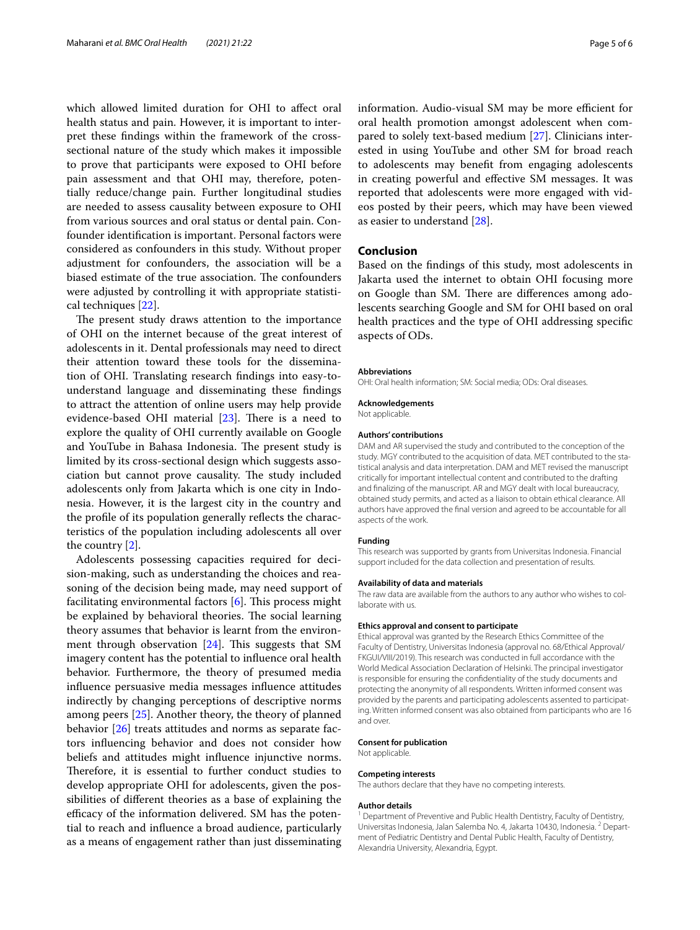which allowed limited duration for OHI to afect oral health status and pain. However, it is important to interpret these fndings within the framework of the crosssectional nature of the study which makes it impossible to prove that participants were exposed to OHI before pain assessment and that OHI may, therefore, potentially reduce/change pain. Further longitudinal studies are needed to assess causality between exposure to OHI from various sources and oral status or dental pain. Confounder identifcation is important. Personal factors were considered as confounders in this study. Without proper adjustment for confounders, the association will be a biased estimate of the true association. The confounders were adjusted by controlling it with appropriate statistical techniques [[22](#page-5-21)].

The present study draws attention to the importance of OHI on the internet because of the great interest of adolescents in it. Dental professionals may need to direct their attention toward these tools for the dissemination of OHI. Translating research fndings into easy-tounderstand language and disseminating these fndings to attract the attention of online users may help provide evidence-based OHI material  $[23]$  $[23]$ . There is a need to explore the quality of OHI currently available on Google and YouTube in Bahasa Indonesia. The present study is limited by its cross-sectional design which suggests association but cannot prove causality. The study included adolescents only from Jakarta which is one city in Indonesia. However, it is the largest city in the country and the profle of its population generally refects the characteristics of the population including adolescents all over the country [[2](#page-5-1)].

Adolescents possessing capacities required for decision-making, such as understanding the choices and reasoning of the decision being made, may need support of facilitating environmental factors  $[6]$  $[6]$ . This process might be explained by behavioral theories. The social learning theory assumes that behavior is learnt from the environment through observation  $[24]$  $[24]$ . This suggests that SM imagery content has the potential to infuence oral health behavior. Furthermore, the theory of presumed media infuence persuasive media messages infuence attitudes indirectly by changing perceptions of descriptive norms among peers [\[25](#page-5-24)]. Another theory, the theory of planned behavior [\[26](#page-5-25)] treats attitudes and norms as separate factors infuencing behavior and does not consider how beliefs and attitudes might infuence injunctive norms. Therefore, it is essential to further conduct studies to develop appropriate OHI for adolescents, given the possibilities of diferent theories as a base of explaining the efficacy of the information delivered. SM has the potential to reach and infuence a broad audience, particularly as a means of engagement rather than just disseminating information. Audio-visual SM may be more efficient for oral health promotion amongst adolescent when compared to solely text-based medium [[27\]](#page-5-26). Clinicians interested in using YouTube and other SM for broad reach to adolescents may beneft from engaging adolescents in creating powerful and efective SM messages. It was reported that adolescents were more engaged with videos posted by their peers, which may have been viewed as easier to understand [\[28](#page-5-27)].

## **Conclusion**

Based on the fndings of this study, most adolescents in Jakarta used the internet to obtain OHI focusing more on Google than SM. There are differences among adolescents searching Google and SM for OHI based on oral health practices and the type of OHI addressing specifc aspects of ODs.

#### **Abbreviations**

OHI: Oral health information; SM: Social media; ODs: Oral diseases.

#### **Acknowledgements**

Not applicable.

#### **Authors' contributions**

DAM and AR supervised the study and contributed to the conception of the study. MGY contributed to the acquisition of data. MET contributed to the statistical analysis and data interpretation. DAM and MET revised the manuscript critically for important intellectual content and contributed to the drafting and fnalizing of the manuscript. AR and MGY dealt with local bureaucracy, obtained study permits, and acted as a liaison to obtain ethical clearance. All authors have approved the fnal version and agreed to be accountable for all aspects of the work.

#### **Funding**

This research was supported by grants from Universitas Indonesia. Financial support included for the data collection and presentation of results.

#### **Availability of data and materials**

The raw data are available from the authors to any author who wishes to collaborate with us.

#### **Ethics approval and consent to participate**

Ethical approval was granted by the Research Ethics Committee of the Faculty of Dentistry, Universitas Indonesia (approval no. 68/Ethical Approval/ FKGUI/VIII/2019). This research was conducted in full accordance with the World Medical Association Declaration of Helsinki. The principal investigator is responsible for ensuring the confdentiality of the study documents and protecting the anonymity of all respondents. Written informed consent was provided by the parents and participating adolescents assented to participating. Written informed consent was also obtained from participants who are 16 and over.

## **Consent for publication**

Not applicable.

# **Competing interests**

The authors declare that they have no competing interests.

#### **Author details**

<sup>1</sup> Department of Preventive and Public Health Dentistry, Faculty of Dentistry, Universitas Indonesia, Jalan Salemba No. 4, Jakarta 10430, Indonesia. <sup>2</sup> Department of Pediatric Dentistry and Dental Public Health, Faculty of Dentistry, Alexandria University, Alexandria, Egypt.